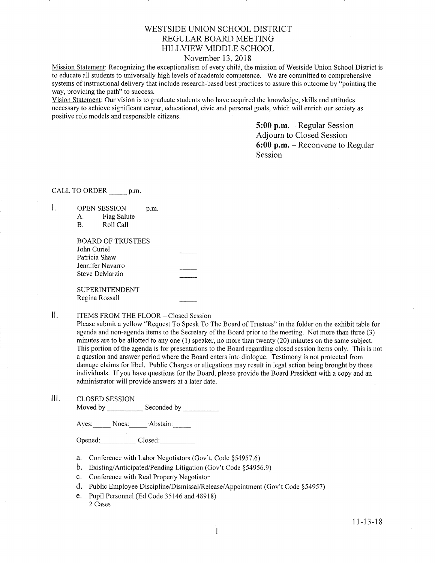# WESTSIDE UNION SCHOOL DISTRICT REGULAR BOARD MEETING HILLVIEW MIDDLE SCHOOL

## November 13, 2018

Mission Statement: Recognizing the exceptionalism of every child, the mission of Westside Union School District is to educate all students to universally high levels of academic competence. We are committed to comprehensive systems of instructional delivery that include research-based best practices to assure this outcome by "pointing the way, providing the path" to success.

Vision Statement: Our vision is to graduate students who have acquired the knowledge, skills and attitudes necessary to achieve significant career, educational, civic and personal goals, which will enrich our sociefy as positive role models and responsible citizens.

> 5:00 p.m. - Regular Session Adjourn to Closed Session 6:00 p.m. - Reconvene to Regular Session

## CALL TO ORDER p.m.

 $\mathbf{I}$ .

|    |                | <b>OPEN SESSION</b>      | p.m. |  |
|----|----------------|--------------------------|------|--|
| А. |                | Flag Salute              |      |  |
| В. |                | Roll Call                |      |  |
|    |                | <b>BOARD OF TRUSTEES</b> |      |  |
|    | John Curiel    |                          |      |  |
|    | Patricia Shaw  |                          |      |  |
|    |                | Jennifer Navarro         |      |  |
|    | Steve DeMarzio |                          |      |  |
|    |                | <b>SUPERINTENDENT</b>    |      |  |
|    | Regina Rossall |                          |      |  |

### $\mathbf{II}$ . ITEMS FROM THE FLOOR- Closed Session

Please submit a yellow "Request To Speak To The Board of Trustees" in the folder on the exhibit table for agenda and non-agenda items to the Secretary of the Board prior to the meeting. Not more than three (3) minutes are to be allotted to any one (1) speaker, no more than twenty (20) minutes on the same subject. This portion of the agenda is for presentations to the Board regarding closed session items only. This is not a question and answer period where the Board enters into dialogue. Testimony is not protected from damage claims for libel. Public Charges or allegations may result in legal action being brought by those individuals. Ifyou have questions for the Board, please provide the Board President with a copy and an administrator will provide answers at a later date.

lll. cLosED sESSroN

Moved by Seconded by Seconded by Seconded by Seconded by Seconded by Seconded by Seconded by Seconded by Seconded by Seconded by Seconded by Seconded by Seconded by Seconded by Seconded by Seconded by Seconded by Seconded

Ayes: Noes: Abstain:

Opened: Closed:

- a. Conference with Labor Negotiators (Gov't. Code \$54957.6)
- b. Existing/Anticipated/Pending Litigation (Gov't Code \$54956.9)
- c. Conference with Real Property Negotiator
- d. Public Employee Discipline/Dismissal/Release/Appointment (Gov't Code 954957)
- e. Pupil Personnel (Ed Code 35146 and 48918) 2 Cases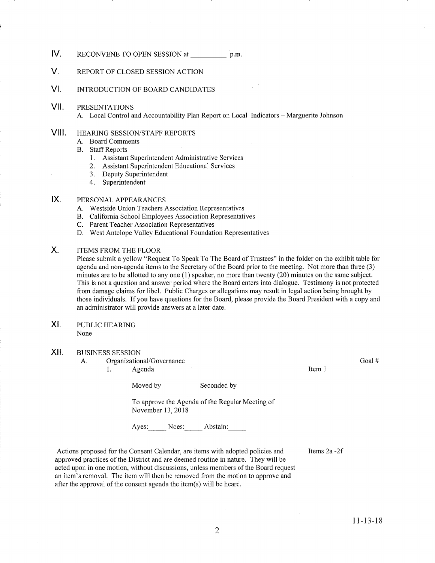### IV. RECONVENE TO OPEN SESSION at p.m.

### V. REPORT OF CLOSED SESSION ACTION

#### vt. INTRODUCTION OF BOARD CANDIDATES

vil. PRESENTATIONS

A. Local Control and Accountability Plan Report on Local Indicators - Marguerite Johnson

### vil HEARING SESSION/STAFF REPORTS

- A. Board Comments
- B. Staff Reports
	- 1. Assistant Superintendent Administrative Services
	- 2. Assistant Superintendent Educational Services
	- 3. Deputy Superintendent<br>4. Superintendent
	-

#### PERSONAL APPEARANCES  $IX.$

- A. Westside Union Teachers Association Representatives
- B. California School Employees Association Representatives C. Parent Teacher Association Representatives
- 
- D. West Antelope Valley Educational Foundation Representatives

#### ITEMS FROM THE FLOOR  $X_{\cdot}$

Please submit a yellow "Request To Speak To The Board of Trustees" in the folder on the exhibit table for agenda and non-agenda items to the Secretary of the Board prior to the meeting. Not more than three (3) minutes are to be allotted to any one (1) speaker, no more than twenty (20) minutes on the same subject. This is not a question and answer period where the Board enters into dialogue. Testimony is not protected from damage claims for libel. Public Charges or allegations may result in legal action being brought by those individuals. If you have questions for the Board, please provide the Board President with a copy and an administrator will provide answers at a later date.

PUBLIC HEARING None XI

## XII. BUSINESS SESSION

A. Organizational/Governance 1. Agenda

Moved by Seconded by Seconded by Seconded by Seconded by Seconded by Seconded by Seconded by Seconded by Seconded by Seconded by Seconded by Seconded by Seconded by Seconded by Seconded by Seconded by Seconded by Seconded

To approve the Agenda of the Regular Meeting of November 13,2018

Ayes: Noes: Abstain:

Actions proposed for the Consent Calendar, are items with adopted policies and approved practices of the District and are deemed routine in nature. They will be acted upon in one motion, without discussions, uuless members of the Board request an item's removal. The item will then be removed from the motion to approve and after the approval of the consent agenda the item(s) will be heard.

lfems 2a -2f

Item <sup>1</sup>

Goal #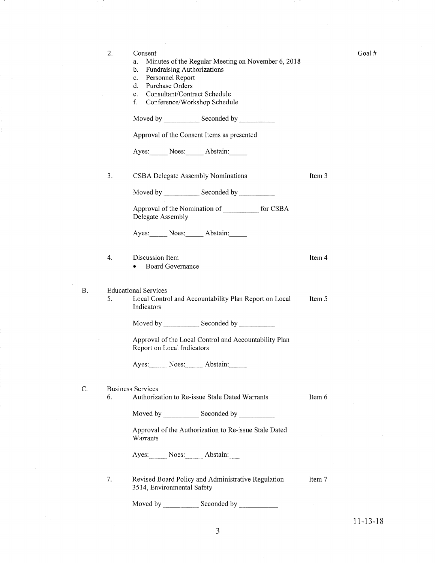| 2. | Consent<br>Minutes of the Regular Meeting on November 6, 2018<br>a.<br><b>Fundraising Authorizations</b><br>b.<br>Personnel Report<br>$c_{\star}$<br>Purchase Orders<br>d.<br>Consultant/Contract Schedule<br>e.<br>f.<br>Conference/Workshop Schedule |        |  |  |  |  |
|----|--------------------------------------------------------------------------------------------------------------------------------------------------------------------------------------------------------------------------------------------------------|--------|--|--|--|--|
|    | Moved by Seconded by Seconded by                                                                                                                                                                                                                       |        |  |  |  |  |
|    | Approval of the Consent Items as presented                                                                                                                                                                                                             |        |  |  |  |  |
|    | Ayes: Noes: Abstain:                                                                                                                                                                                                                                   |        |  |  |  |  |
| 3. | CSBA Delegate Assembly Nominations                                                                                                                                                                                                                     | Item 3 |  |  |  |  |
|    | Moved by Seconded by Seconded by                                                                                                                                                                                                                       |        |  |  |  |  |
|    | Approval of the Nomination of for CSBA<br>Delegate Assembly                                                                                                                                                                                            |        |  |  |  |  |
|    | Ayes: Noes: Abstain:                                                                                                                                                                                                                                   |        |  |  |  |  |
| 4. | Discussion Item<br><b>Board Governance</b>                                                                                                                                                                                                             | Item 4 |  |  |  |  |
| 5. | <b>Educational Services</b><br>Local Control and Accountability Plan Report on Local<br>Indicators                                                                                                                                                     | Item 5 |  |  |  |  |
|    | Moved by Seconded by                                                                                                                                                                                                                                   |        |  |  |  |  |
|    | Approval of the Local Control and Accountability Plan<br>Report on Local Indicators                                                                                                                                                                    |        |  |  |  |  |
|    | Ayes: Noes: Abstain:                                                                                                                                                                                                                                   |        |  |  |  |  |
| 6. | <b>Business Services</b><br>Authorization to Re-issue Stale Dated Warrants                                                                                                                                                                             | Item 6 |  |  |  |  |
|    |                                                                                                                                                                                                                                                        |        |  |  |  |  |
|    | Approval of the Authorization to Re-issue Stale Dated<br>Warrants                                                                                                                                                                                      |        |  |  |  |  |
|    | Ayes: Noes: Abstain:                                                                                                                                                                                                                                   |        |  |  |  |  |
| 7. | Revised Board Policy and Administrative Regulation<br>3514, Environmental Safety                                                                                                                                                                       | Item 7 |  |  |  |  |
|    | Moved by<br>Seconded by                                                                                                                                                                                                                                |        |  |  |  |  |

B

 $\mathcal{C}$ .

1 1-13-18

Goal #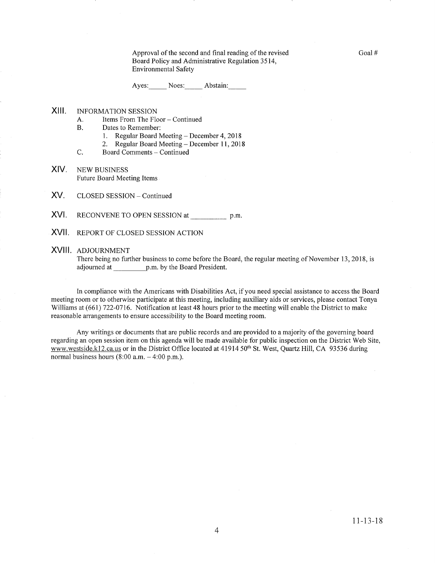Approval of the second and final reading of the revised Board Policy and Administrative Regulation 3514, Environmental Safety

Ayes: Noes: Abstain:

### xilt INFORMATION SESSION

- A. Items From The Floor Continued<br>B. Dates to Remember:
- -
- 1. Regular Board Meeting December 4, 2018<br>2. Regular Board Meeting December 11, 2018<br>C. Board Comments Continued
- 
- XIV. NEW BUSINESS Future Board Meeting Items
- XV. CLOSED SESSION - Continued
- XVI. RECONVENE TO OPEN SESSION at p.m.
- XVII. REPORT OF CLOSED SESSION ACTION

### XVIII ADJOURNMENT

There being no fufther business to come before the Board, the regular meeting of November 13, 2018, is adjourned at p.m. by the Board President.

In compliance with the Americans with Disabilities Act, if you need special assistance to access the Board meeting room or to otherwise participate at this meeting, including auxiliary aids or services, please contact Tonya Williams at (661) 722-0716. Notification at least 48 hours prior to the meeting will enable the District to make reasonable arrangements to ensure accessibility to the Board meeting room.

Any writings or documents that are public records and are provided to a majorify of the governing board regarding an open session item on this agenda will be made available for public inspection on the District Web Site, www.westside.k12.ca.us or in the District Office located at 41914 50<sup>th</sup> St. West, Quartz Hill, CA 93536 during normal business hours  $(8:00$  a.m.  $-4:00$  p.m.).

Goal #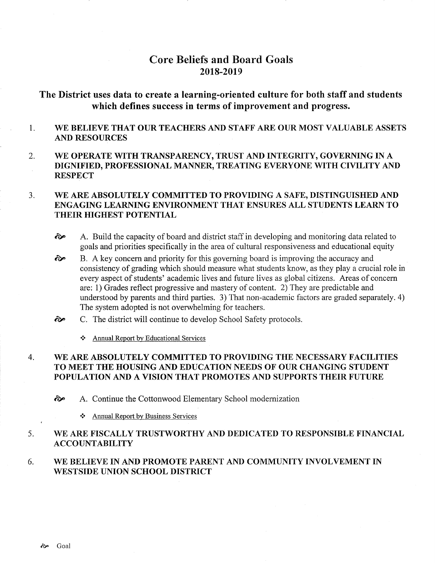# Core Beliefs and Board Goals 2018-20t9

# The District uses data to create a learning-oriented culture for both staff and students which defines success in terms of improyement and progress.

### 1 WE BELIEVE THAT OUR TEACHERS AND STAFF ARE OUR MOST VALUABLE ASSETS AND RESOURCES

2. WE OPERATE WITH TRANSPARENCY, TRUST AND INTEGRITY, GOVERNING IN A DIGNIFIED, PROFESSIONAL MANNER, TREATING EVERYONE WITH CIVILITY AND **RESPECT** 

### WE ARE ABSOLUTELY COMMITTED TO PROVIDING A SAFE, DISTINGUISHED AND ENGAGING LEARNING ENVIRONMENT THAT ENSURES ALL STUDENTS LEARN TO THEIR HIGHEST POTENTIAL  $3.$

- $\hat{\infty}$  A. Build the capacity of board and district staff in developing and monitoring data related to goals and priorities specifically in the area of cultural responsiveness and educational equity
- B. A key concern and priority for this governing board is improving the accuracy and consistency of grading which should measure what students know, as they play a crucial role in every aspect of students' academic lives and future lives as global citizens. Areas of concern are: 1) Grades reflect progressive and mastery of content. 2) They are predictable and understood by parents and third parties. 3) That non-academic factors are graded separately. 4) The system adopted is not overwhelming for teachers. ôp
- C. The district will continue to develop School Safety protocols.  $\hat{\sigma}$ 
	- \* Annual Report by Educational Services

### WE ARE ABSOLUTELY COMMITTED TO PROVIDING THE NECESSARY FACILITIES TO MEET THE HOUSING AND EDUCATION NEEDS OF OUR CHANGING STUDENT POPULATION AND A VISION THAT PROMOTES AND SUPPORTS THEIR FUTURE 4

- ôÊ A. Continue the Cottonwood Elementary School modernization
	- \* Annual Report by Business Services

### WE ARE FISCALLY TRUSTWORTHY AND DEDICATED TO RESPONSIBLE FINANCIAL ^4.CCOUNTABILITY 5

### WE BELIEVE IN AND PROMOTE PARENT AND COMMUNITY INVOLVEMENT IN WESTSIDE UNION SCHOOL DISTRICT 6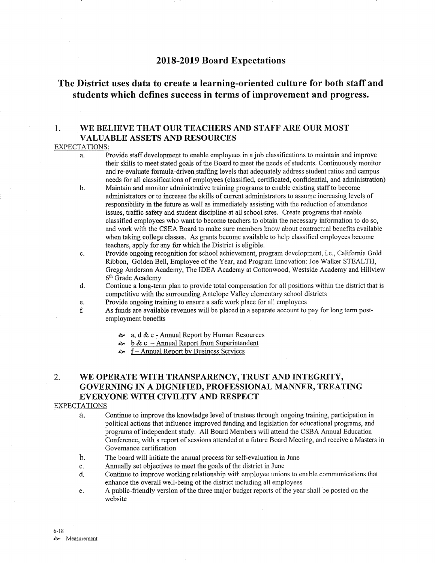# 2018-2019 Board Expectations

# The District uses data to create a learning-oriented culture for both staff and students which defines success in terms of improvement and progress.

## 1. WE BELIEVE THAT OUR TEACHERS AND STAFF ARE OUR MOST VALUABLE ASSETS AND RESOURCES

### EXPECTATIONS:

- a. Provide staff development to enable employees in a job classifications to maintain and improve their skills to meet stated goals of the Board to meet the needs of students. Continuously monitor and re-evaluate formula-driven staffurg levels that adequately address student ratios and campus needs for all classifications of employees (classified, certificated, confidential, and administration)
- b. Maintain and monitor administrative training programs to enable existing staff to become administrators or to increase the skills of current administrators to assume increasing levels of responsibility in the future as well as immediately assisting with the reduction of attendance issues, traffic safety and student discipline at all school sites. Create programs that enable classified employees who want to become teachers to obtain the necessary information to do so, and work with the CSEA Board to make sure members know about contractual benefits available when taking college classes. As grants become available to help classified employees become teachers, apply for any for which the District is eligible.
- c. Provide ongoing recognition for school achievement, program development, i.e., Califomia Gold Ribbon, Golden Bell, Employee of the Year, and Program Innovation: Joe Walker STEALTH, Gregg Anderson Academy, The IDEA Academy at Cottonwood, Westside Academy and Hillview  $6<sup>th</sup>$  Grade Academy d. Continue a long-term plan to provide total compensation for all positions within the district that is
- competitive with the surrounding Antelope Valley elementary school districts<br>Provide ongoing training to ensure a safe work place for all employees
- 
- e. Provide ongoing training to ensure a safe work place for all employees<br>f. As funds are available revenues will be placed in a separate account to pay for long term post-<br>employment benefits
	- $\therefore$  a. d & e Annual Report by Human Resources  $\therefore$  b & c Annual Report from Superintendent
	-
	- $\approx$  f Annual Report by Business Services

# 2. WE OPERATE WITH TRANSPARENCY, TRUST AND INTEGRITY, GOVERNING IN A DIGNIFIED, PROFESSIONAL MANNER, TREATING EVERYONE WITH CIVILITY AND RESPECT

## EXPECTATIONS

- a. Continue to improve the knowledge level of trustees through ongoing training, participation in political actions that influence improved funding and legislation for educational programs, and programs of independent study. All Board Members will attend the CSBA Annual Education Conference, with a report of sessions attended at a future Board Meeting, and receive a Masters in Governance certification
- The board will initiate the annual process for self-evaluation in June b.
- Annually set objectives to meet the goals of the district in June c.
- Continue to improve working relationship with employee unions to enable communications that enhance the overall well-being of the district including all employees d.
- A public-friendly version of the three major budget reports of the year shall be posted on the website e.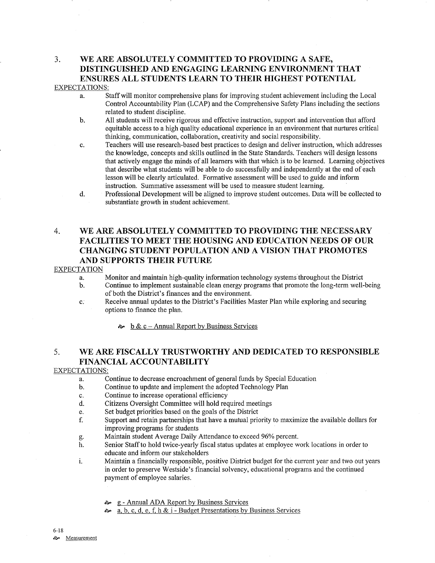# 3. WE ARE ABSOLUTELY COMMITTED TO PROVIDING A SAFE, DISTINGUISHED AND ENGAGING LEARNING ENVIRONMENT THAT ENSURES ALL STUDENTS LEARN TO THEIR HIGHEST POTENTIAL

## EXPECTATIONS:

- a. Staff will monitor comprehensive plans for improving student achievement including the Local Control Accountability Plan (LCAP) and the Comprehensive Safety Plans including the sections
- b. All students will receive rigorous and effective instruction, support and intervention that afford equitable access to a high quality educational experience in an environment that nurtures critical thinking, communication, collaboration, creativity and social responsibility.
- c. Teachers will use research-based best practices to design and deliver instruction, which addresses the knowledge, concepts and skills outlined in the State Standards. Teachers will design lessons that actively engage the minds of all learners with that which is to be leamed. Learning objectives that describe what students will be able to do successfully and independently at the end of each lesson will be clearly articulated. Formative assessment will be used to guide and inform instruction. Summative assessment will be used to measure sfudent learning.
- d. Professional Development will be aligned to improve student outcomes. Data will be collected to substantiate growth in student achievement.

# 4. WE ARE ABSOLUTELY COMMITTED TO PROVIDING THE NECESSARY FACILITIES TO MEET THE HOUSING AND EDUCATION NEEDS OF OUR CHANGING STUDENT POPULATION AND A VISION THAT PROMOTES AND SUPPORTS THEIR FUTURE

### **EXPECTATION**

- a. Monitor and maintain high-quality information technology systems throughout the District
- b. Continue to implement sustainable clean energy programs that promote the long-term well-being of both the District's finances and the environment.
- c. Receive annual updates to the District's Facilities Master Plan while exploring and securing options to finance the plan.

 $\approx$  b & c – Annual Report by Business Services

# 5. WE ARE FISCALLY TRUSTWORTHY AND DEDICATED TO RESPONSIBLE FINANCIAL ACCOUNTABILITY

## EXPECTATIONS:

- a. Continue to decrease encroachment of general funds by Special Education
- b. Continue to update and implement the adopted Technology Plan<br>c. Continue to increase operational efficiency
- 
- c. Continue to increase operational efficiency<br>d. Citizens Oversight Committee will hold required meetings<br>e. Set budget priorities based on the goals of the District
- 
- e. Set budget priorities based on the goals of the District ending the state in Support and retain partnerships that have a mutual priority to maximize the available dollars for  $f$ . improving programs for students
- 
- g. Maintain student Average Daily Attendance to exceed 96Yo percent. h. Senior Staff to hold twice-yearly fiscal status updates at employee work locations in order to educate and inform our stakeholders
- i. Maintain a financially responsible, positive District budget for the current year and two out years in order to preserve Westside's financial solvency, educational programs and the continued payment of employee salaries.
	- èp g Annual ADA Report by Business Services
	- èÊ a, b. c, d, e. f. h & i - Budget Presentations by Business Services